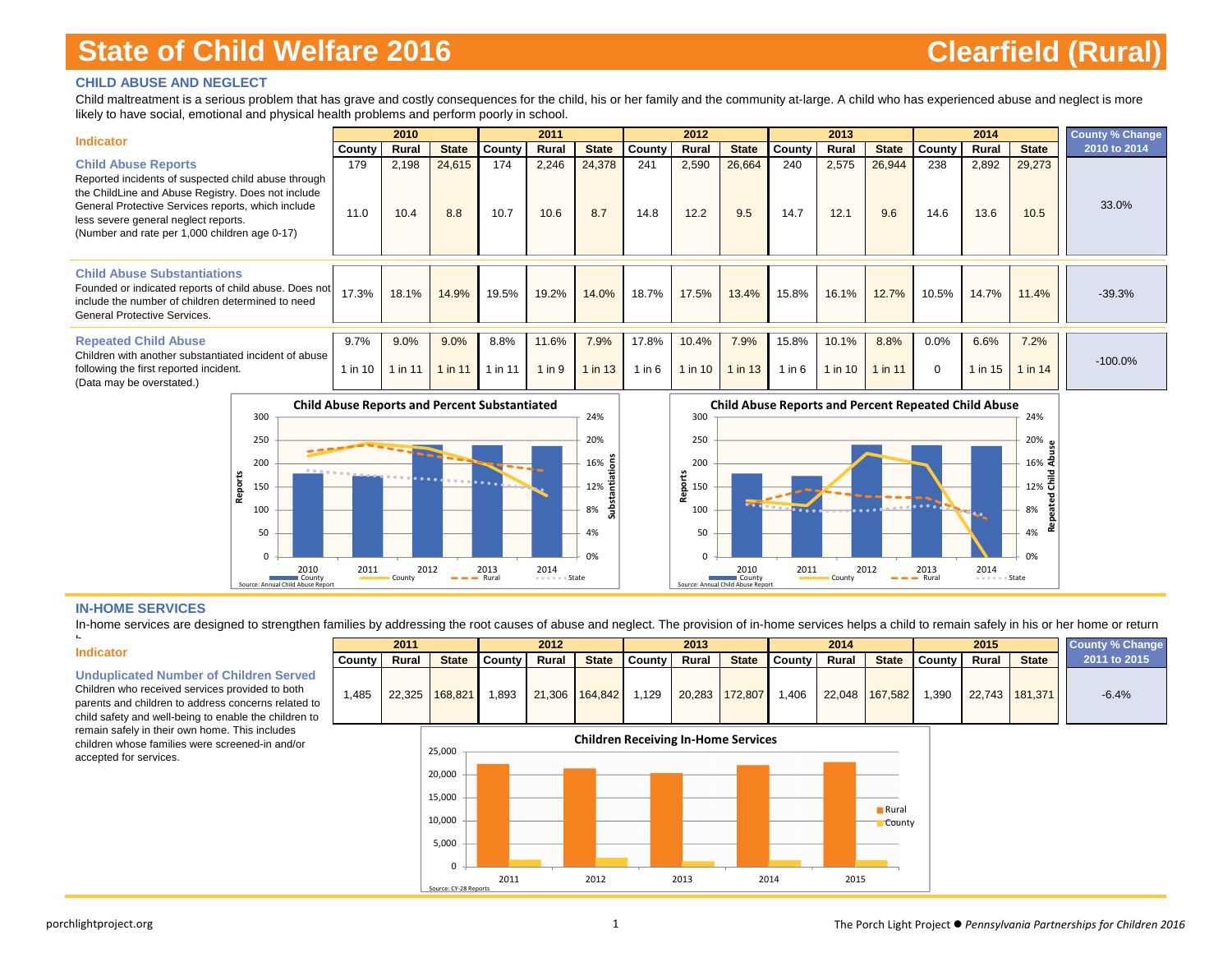### **CHILD ABUSE AND NEGLECT**

Child maltreatment is a serious problem that has grave and costly consequences for the child, his or her family and the community at-large. A child who has experienced abuse and neglect is more likely to have social, emotional and physical health problems and perform poorly in school.

| <b>Indicator</b>                                                                                                                                                                                                                                                                       |                 | 2010            |                 |                 | 2011            |                 |                     | 2012                 |                   |                 | 2013             |                   |                  | 2014            |                 | <b>County % Change</b> |
|----------------------------------------------------------------------------------------------------------------------------------------------------------------------------------------------------------------------------------------------------------------------------------------|-----------------|-----------------|-----------------|-----------------|-----------------|-----------------|---------------------|----------------------|-------------------|-----------------|------------------|-------------------|------------------|-----------------|-----------------|------------------------|
|                                                                                                                                                                                                                                                                                        | County          | Rural           | <b>State</b>    | County          | Rural           | <b>State</b>    | County              | Rural                | <b>State</b>      | County          | Rural            | <b>State</b>      | County           | Rural           | <b>State</b>    | 2010 to 2014           |
| <b>Child Abuse Reports</b><br>Reported incidents of suspected child abuse through<br>the ChildLine and Abuse Registry. Does not include<br>General Protective Services reports, which include<br>less severe general neglect reports.<br>(Number and rate per 1,000 children age 0-17) | 179<br>11.0     | 2,198<br>10.4   | 24,615<br>8.8   | 174<br>10.7     | 2,246<br>10.6   | 24,378<br>8.7   | 241<br>14.8         | 2,590<br>12.2        | 26,664<br>9.5     | 240<br>14.7     | 2,575<br>12.1    | 26,944<br>9.6     | 238<br>14.6      | 2,892<br>13.6   | 29,273<br>10.5  | 33.0%                  |
| <b>Child Abuse Substantiations</b><br>Founded or indicated reports of child abuse. Does not<br>include the number of children determined to need<br>General Protective Services.                                                                                                       | 17.3%           | 18.1%           | 14.9%           | 19.5%           | 19.2%           | 14.0%           | 18.7%               | 17.5%                | 13.4%             | 15.8%           | 16.1%            | 12.7%             | 10.5%            | 14.7%           | 11.4%           | $-39.3%$               |
| <b>Repeated Child Abuse</b><br>Children with another substantiated incident of abuse<br>following the first reported incident.<br>(Data may be overstated.)                                                                                                                            | 9.7%<br>1 in 10 | 9.0%<br>1 in 11 | 9.0%<br>1 in 11 | 8.8%<br>1 in 11 | 11.6%<br>1 in 9 | 7.9%<br>1 in 13 | 17.8%<br>$1$ in $6$ | 10.4%<br>$1$ in $10$ | 7.9%<br>$1$ in 13 | 15.8%<br>1 in 6 | 10.1%<br>1 in 10 | 8.8%<br>$1$ in 11 | 0.0%<br>$\Omega$ | 6.6%<br>1 in 15 | 7.2%<br>1 in 14 | $-100.0\%$             |





#### **IN-HOME SERVICES**

In-home services are designed to strengthen families by addressing the root causes of abuse and neglect. The provision of in-home services helps a child to remain safely in his or her home or return

#### **Indicator**

h

**Unduplicated Number of Children Served**

Children who received services provided to both parents and children to address concerns related to child safety and well-being to enable the children to remain safely in their own home. This includes children whose families were screened-in and/or accepted for services.



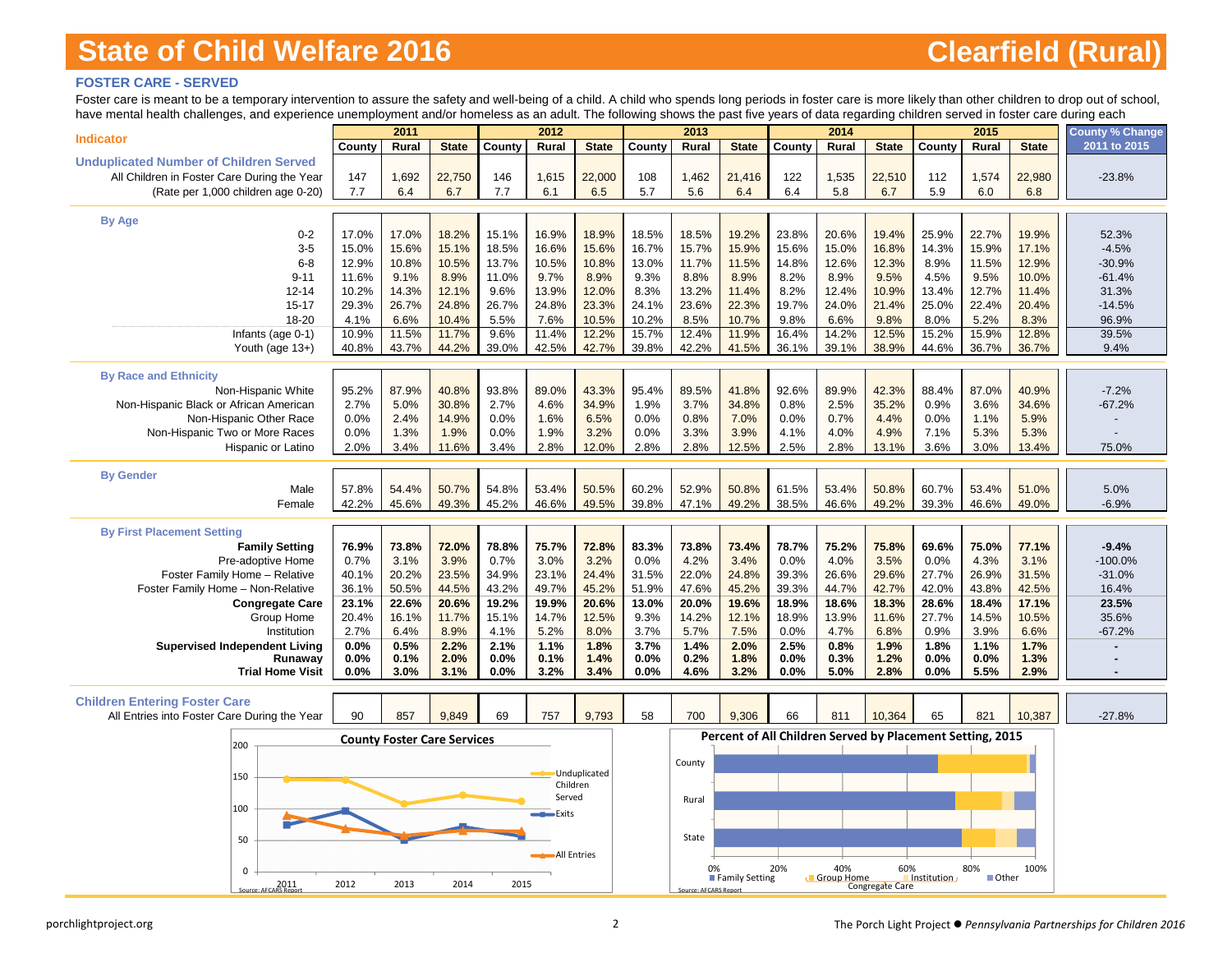### **FOSTER CARE - SERVED**

Foster care is meant to be a temporary intervention to assure the safety and well-being of a child. A child who spends long periods in foster care is more likely than other children to drop out of school, have mental health challenges, and experience unemployment and/or homeless as an adult. The following shows the past five years of data regarding children served in foster care during each

| nave menial nealin challenges, and experience unemployment and/or nomeless as an addit. The following shows the past live years or data regarding children served in foster care during each |                | 2011                               |                |                | 2012           |                |                | 2013                  |                |                                                           | 2014           |                 |                | 2015           |                | <b>County % Change</b> |
|----------------------------------------------------------------------------------------------------------------------------------------------------------------------------------------------|----------------|------------------------------------|----------------|----------------|----------------|----------------|----------------|-----------------------|----------------|-----------------------------------------------------------|----------------|-----------------|----------------|----------------|----------------|------------------------|
| <b>Indicator</b>                                                                                                                                                                             | County         | Rural                              | <b>State</b>   | County         | Rural          | <b>State</b>   | County         | Rural                 | <b>State</b>   | County                                                    | Rural          | <b>State</b>    | County         | Rural          | <b>State</b>   | 2011 to 2015           |
| <b>Unduplicated Number of Children Served</b>                                                                                                                                                |                |                                    |                |                |                |                |                |                       |                |                                                           |                |                 |                |                |                |                        |
| All Children in Foster Care During the Year                                                                                                                                                  | 147            | 1,692                              | 22,750         | 146            | 1,615          | 22,000         | 108            | 1,462                 | 21,416         | 122                                                       | 1,535          | 22,510          | 112            | 1,574          | 22,980         | $-23.8%$               |
| (Rate per 1,000 children age 0-20)                                                                                                                                                           | 7.7            | 6.4                                | 6.7            | 7.7            | 6.1            | 6.5            | 5.7            | 5.6                   | 6.4            | 6.4                                                       | 5.8            | 6.7             | 5.9            | 6.0            | 6.8            |                        |
|                                                                                                                                                                                              |                |                                    |                |                |                |                |                |                       |                |                                                           |                |                 |                |                |                |                        |
| By Age                                                                                                                                                                                       |                |                                    |                |                |                |                |                |                       |                |                                                           |                |                 |                |                |                |                        |
| $0 - 2$                                                                                                                                                                                      | 17.0%          | 17.0%                              | 18.2%          | 15.1%          | 16.9%          | 18.9%          | 18.5%          | 18.5%                 | 19.2%          | 23.8%                                                     | 20.6%          | 19.4%           | 25.9%          | 22.7%          | 19.9%          | 52.3%                  |
| $3-5$                                                                                                                                                                                        | 15.0%          | 15.6%                              | 15.1%          | 18.5%          | 16.6%          | 15.6%          | 16.7%          | 15.7%                 | 15.9%          | 15.6%                                                     | 15.0%          | 16.8%           | 14.3%          | 15.9%          | 17.1%          | $-4.5%$                |
| $6 - 8$                                                                                                                                                                                      | 12.9%          | 10.8%                              | 10.5%          | 13.7%          | 10.5%          | 10.8%          | 13.0%          | 11.7%                 | 11.5%          | 14.8%                                                     | 12.6%          | 12.3%           | 8.9%           | 11.5%          | 12.9%          | $-30.9%$               |
| $9 - 11$<br>$12 - 14$                                                                                                                                                                        | 11.6%<br>10.2% | 9.1%<br>14.3%                      | 8.9%<br>12.1%  | 11.0%<br>9.6%  | 9.7%<br>13.9%  | 8.9%<br>12.0%  | 9.3%<br>8.3%   | 8.8%<br>13.2%         | 8.9%<br>11.4%  | 8.2%<br>8.2%                                              | 8.9%<br>12.4%  | 9.5%<br>10.9%   | 4.5%<br>13.4%  | 9.5%<br>12.7%  | 10.0%<br>11.4% | $-61.4%$<br>31.3%      |
| $15 - 17$                                                                                                                                                                                    | 29.3%          | 26.7%                              | 24.8%          | 26.7%          | 24.8%          | 23.3%          | 24.1%          | 23.6%                 | 22.3%          | 19.7%                                                     | 24.0%          | 21.4%           | 25.0%          | 22.4%          | 20.4%          | $-14.5%$               |
| 18-20                                                                                                                                                                                        | 4.1%           | 6.6%                               | 10.4%          | 5.5%           | 7.6%           | 10.5%          | 10.2%          | 8.5%                  | 10.7%          | 9.8%                                                      | 6.6%           | 9.8%            | 8.0%           | 5.2%           | 8.3%           | 96.9%                  |
| Infants (age 0-1)                                                                                                                                                                            | 10.9%          | 11.5%                              | 11.7%          | 9.6%           | 11.4%          | 12.2%          | 15.7%          | 12.4%                 | 11.9%          | 16.4%                                                     | 14.2%          | 12.5%           | 15.2%          | 15.9%          | 12.8%          | 39.5%                  |
| Youth (age 13+)                                                                                                                                                                              | 40.8%          | 43.7%                              | 44.2%          | 39.0%          | 42.5%          | 42.7%          | 39.8%          | 42.2%                 | 41.5%          | 36.1%                                                     | 39.1%          | 38.9%           | 44.6%          | 36.7%          | 36.7%          | 9.4%                   |
|                                                                                                                                                                                              |                |                                    |                |                |                |                |                |                       |                |                                                           |                |                 |                |                |                |                        |
| <b>By Race and Ethnicity</b>                                                                                                                                                                 |                |                                    |                |                |                |                |                |                       |                |                                                           |                |                 |                |                |                |                        |
| Non-Hispanic White                                                                                                                                                                           | 95.2%          | 87.9%                              | 40.8%          | 93.8%          | 89.0%          | 43.3%          | 95.4%          | 89.5%                 | 41.8%          | 92.6%                                                     | 89.9%          | 42.3%           | 88.4%          | 87.0%          | 40.9%          | $-7.2%$                |
| Non-Hispanic Black or African American                                                                                                                                                       | 2.7%           | 5.0%                               | 30.8%          | 2.7%           | 4.6%           | 34.9%          | 1.9%           | 3.7%                  | 34.8%          | 0.8%                                                      | 2.5%           | 35.2%           | 0.9%           | 3.6%           | 34.6%          | $-67.2%$               |
| Non-Hispanic Other Race                                                                                                                                                                      | 0.0%           | 2.4%                               | 14.9%          | 0.0%           | 1.6%           | 6.5%           | 0.0%           | 0.8%                  | 7.0%           | 0.0%                                                      | 0.7%           | 4.4%            | 0.0%           | 1.1%           | 5.9%           |                        |
| Non-Hispanic Two or More Races<br>Hispanic or Latino                                                                                                                                         | 0.0%<br>2.0%   | 1.3%<br>3.4%                       | 1.9%<br>11.6%  | 0.0%<br>3.4%   | 1.9%<br>2.8%   | 3.2%<br>12.0%  | 0.0%<br>2.8%   | 3.3%<br>2.8%          | 3.9%<br>12.5%  | 4.1%<br>2.5%                                              | 4.0%<br>2.8%   | 4.9%<br>13.1%   | 7.1%<br>3.6%   | 5.3%<br>3.0%   | 5.3%<br>13.4%  | 75.0%                  |
|                                                                                                                                                                                              |                |                                    |                |                |                |                |                |                       |                |                                                           |                |                 |                |                |                |                        |
| <b>By Gender</b>                                                                                                                                                                             |                |                                    |                |                |                |                |                |                       |                |                                                           |                |                 |                |                |                |                        |
| Male                                                                                                                                                                                         | 57.8%          | 54.4%                              | 50.7%          | 54.8%          | 53.4%          | 50.5%          | 60.2%          | 52.9%                 | 50.8%          | 61.5%                                                     | 53.4%          | 50.8%           | 60.7%          | 53.4%          | 51.0%          | 5.0%                   |
| Female                                                                                                                                                                                       | 42.2%          | 45.6%                              | 49.3%          | 45.2%          | 46.6%          | 49.5%          | 39.8%          | 47.1%                 | 49.2%          | 38.5%                                                     | 46.6%          | 49.2%           | 39.3%          | 46.6%          | 49.0%          | $-6.9%$                |
|                                                                                                                                                                                              |                |                                    |                |                |                |                |                |                       |                |                                                           |                |                 |                |                |                |                        |
| <b>By First Placement Setting</b>                                                                                                                                                            |                |                                    |                |                |                |                |                |                       |                |                                                           |                |                 |                |                |                |                        |
| <b>Family Setting</b>                                                                                                                                                                        | 76.9%          | 73.8%                              | 72.0%          | 78.8%          | 75.7%          | 72.8%          | 83.3%          | 73.8%                 | 73.4%          | 78.7%                                                     | 75.2%          | 75.8%           | 69.6%          | 75.0%          | 77.1%          | $-9.4%$                |
| Pre-adoptive Home                                                                                                                                                                            | 0.7%           | 3.1%                               | 3.9%           | 0.7%           | 3.0%           | 3.2%           | 0.0%           | 4.2%                  | 3.4%           | 0.0%                                                      | 4.0%           | 3.5%            | 0.0%           | 4.3%           | 3.1%           | $-100.0%$              |
| Foster Family Home - Relative<br>Foster Family Home - Non-Relative                                                                                                                           | 40.1%<br>36.1% | 20.2%<br>50.5%                     | 23.5%<br>44.5% | 34.9%<br>43.2% | 23.1%<br>49.7% | 24.4%<br>45.2% | 31.5%<br>51.9% | 22.0%<br>47.6%        | 24.8%<br>45.2% | 39.3%<br>39.3%                                            | 26.6%<br>44.7% | 29.6%<br>42.7%  | 27.7%<br>42.0% | 26.9%<br>43.8% | 31.5%<br>42.5% | $-31.0%$<br>16.4%      |
| <b>Congregate Care</b>                                                                                                                                                                       | 23.1%          | 22.6%                              | 20.6%          | 19.2%          | 19.9%          | 20.6%          | 13.0%          | 20.0%                 | 19.6%          | 18.9%                                                     | 18.6%          | 18.3%           | 28.6%          | 18.4%          | 17.1%          | 23.5%                  |
| Group Home                                                                                                                                                                                   | 20.4%          | 16.1%                              | 11.7%          | 15.1%          | 14.7%          | 12.5%          | 9.3%           | 14.2%                 | 12.1%          | 18.9%                                                     | 13.9%          | 11.6%           | 27.7%          | 14.5%          | 10.5%          | 35.6%                  |
| Institution                                                                                                                                                                                  | 2.7%           | 6.4%                               | 8.9%           | 4.1%           | 5.2%           | 8.0%           | 3.7%           | 5.7%                  | 7.5%           | 0.0%                                                      | 4.7%           | 6.8%            | 0.9%           | 3.9%           | 6.6%           | $-67.2%$               |
| <b>Supervised Independent Living</b>                                                                                                                                                         | 0.0%           | 0.5%                               | 2.2%           | 2.1%           | 1.1%           | 1.8%           | 3.7%           | 1.4%                  | 2.0%           | 2.5%                                                      | 0.8%           | 1.9%            | 1.8%           | 1.1%           | 1.7%           |                        |
| Runaway                                                                                                                                                                                      | $0.0\%$        | 0.1%                               | 2.0%           | $0.0\%$        | 0.1%           | 1.4%           | 0.0%           | 0.2%                  | 1.8%           | $0.0\%$                                                   | 0.3%           | 1.2%            | 0.0%           | 0.0%           | 1.3%           |                        |
| <b>Trial Home Visit</b>                                                                                                                                                                      | 0.0%           | 3.0%                               | 3.1%           | 0.0%           | 3.2%           | 3.4%           | 0.0%           | 4.6%                  | 3.2%           | 0.0%                                                      | 5.0%           | 2.8%            | 0.0%           | 5.5%           | 2.9%           |                        |
|                                                                                                                                                                                              |                |                                    |                |                |                |                |                |                       |                |                                                           |                |                 |                |                |                |                        |
| <b>Children Entering Foster Care</b>                                                                                                                                                         |                |                                    |                |                |                |                |                |                       |                |                                                           |                |                 |                |                |                |                        |
| All Entries into Foster Care During the Year                                                                                                                                                 | 90             | 857                                | 9,849          | 69             | 757            | 9,793          | 58             | 700                   | 9,306          | 66                                                        | 811            | 10,364          | 65             | 821            | 10,387         | $-27.8%$               |
| 200                                                                                                                                                                                          |                | <b>County Foster Care Services</b> |                |                |                |                |                |                       |                | Percent of All Children Served by Placement Setting, 2015 |                |                 |                |                |                |                        |
|                                                                                                                                                                                              |                |                                    |                |                |                |                |                |                       |                |                                                           |                |                 |                |                |                |                        |
| 150                                                                                                                                                                                          |                |                                    |                |                |                | -Unduplicated  |                | County                |                |                                                           |                |                 |                |                |                |                        |
|                                                                                                                                                                                              |                |                                    |                |                | Children       |                |                |                       |                |                                                           |                |                 |                |                |                |                        |
| 100                                                                                                                                                                                          |                |                                    |                |                | Served         |                |                | Rural                 |                |                                                           |                |                 |                |                |                |                        |
|                                                                                                                                                                                              |                |                                    |                |                | <b>Exits</b>   |                |                |                       |                |                                                           |                |                 |                |                |                |                        |
| 50                                                                                                                                                                                           |                |                                    |                |                |                |                |                | State                 |                |                                                           |                |                 |                |                |                |                        |
|                                                                                                                                                                                              |                |                                    |                |                | -All Entries   |                |                |                       |                |                                                           |                |                 |                |                |                |                        |
| $\Omega$                                                                                                                                                                                     |                |                                    |                |                |                |                |                |                       |                | 20%                                                       | 40%            | 60%             |                | 80%            | 100%           |                        |
| 2011<br>- Source: AECARS Report                                                                                                                                                              | 2012           | 2013                               | 2014           | 2015           |                |                |                |                       | Family Setting |                                                           | Group Home     | Congregate Care | Institution    | ■ Other        |                |                        |
|                                                                                                                                                                                              |                |                                    |                |                |                |                |                | Source: AFCARS Report |                |                                                           |                |                 |                |                |                |                        |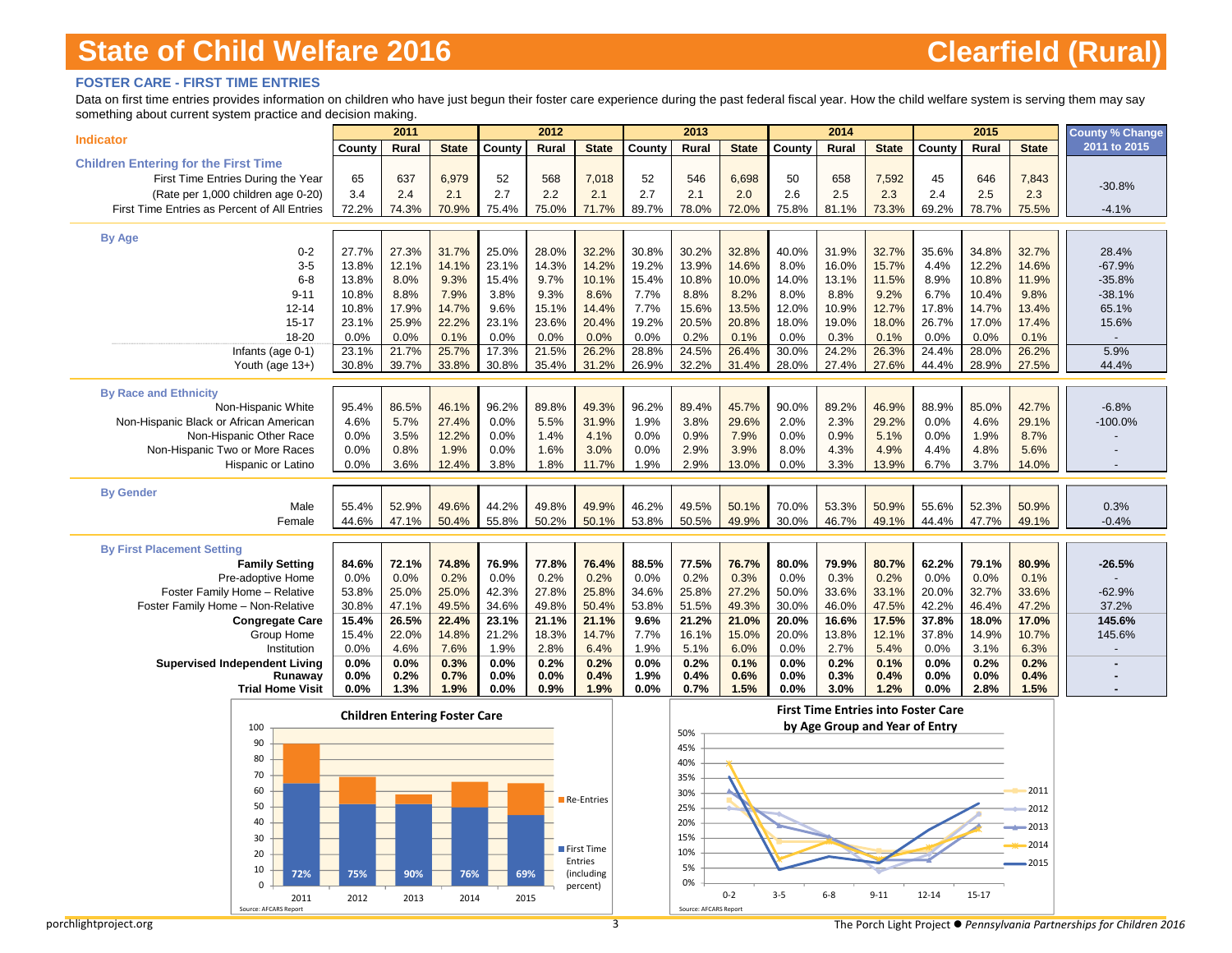### **FOSTER CARE - FIRST TIME ENTRIES**

Data on first time entries provides information on children who have just begun their foster care experience during the past federal fiscal year. How the child welfare system is serving them may say something about current system practice and decision making.

| someting about carrotic system praetice and accision making |                 | 2011                                 |                |               | 2012          |                       |               | 2013                  |               |               | 2014                           |                |                                            | 2015           |               | <b>County % Change</b> |
|-------------------------------------------------------------|-----------------|--------------------------------------|----------------|---------------|---------------|-----------------------|---------------|-----------------------|---------------|---------------|--------------------------------|----------------|--------------------------------------------|----------------|---------------|------------------------|
| <b>Indicator</b>                                            | County          | Rural                                | <b>State</b>   | County        | Rural         | <b>State</b>          | County        | Rural                 | <b>State</b>  | County        | Rural                          | <b>State</b>   | County                                     | Rural          | <b>State</b>  | 2011 to 2015           |
| <b>Children Entering for the First Time</b>                 |                 |                                      |                |               |               |                       |               |                       |               |               |                                |                |                                            |                |               |                        |
| First Time Entries During the Year                          | 65              | 637                                  | 6,979          | 52            | 568           | 7,018                 | 52            | 546                   | 6,698         | 50            | 658                            | 7,592          | 45                                         | 646            | 7,843         |                        |
| (Rate per 1,000 children age 0-20)                          | 3.4             | 2.4                                  | 2.1            | 2.7           | 2.2           | 2.1                   | 2.7           | 2.1                   | 2.0           | 2.6           | 2.5                            | 2.3            | 2.4                                        | 2.5            | 2.3           | $-30.8%$               |
| First Time Entries as Percent of All Entries                | 72.2%           | 74.3%                                | 70.9%          | 75.4%         | 75.0%         | 71.7%                 | 89.7%         | 78.0%                 | 72.0%         | 75.8%         | 81.1%                          | 73.3%          | 69.2%                                      | 78.7%          | 75.5%         | $-4.1%$                |
| <b>By Age</b>                                               |                 |                                      |                |               |               |                       |               |                       |               |               |                                |                |                                            |                |               |                        |
| $0 - 2$                                                     | 27.7%           | 27.3%                                | 31.7%          | 25.0%         | 28.0%         | 32.2%                 | 30.8%         | 30.2%                 | 32.8%         | 40.0%         | 31.9%                          | 32.7%          | 35.6%                                      | 34.8%          | 32.7%         | 28.4%                  |
| $3-5$                                                       | 13.8%           | 12.1%                                | 14.1%          | 23.1%         | 14.3%         | 14.2%                 | 19.2%         | 13.9%                 | 14.6%         | 8.0%          | 16.0%                          | 15.7%          | 4.4%                                       | 12.2%          | 14.6%         | $-67.9%$               |
| $6 - 8$                                                     | 13.8%           | 8.0%                                 | 9.3%           | 15.4%         | 9.7%          | 10.1%                 | 15.4%         | 10.8%                 | 10.0%         | 14.0%         | 13.1%                          | 11.5%          | 8.9%                                       | 10.8%          | 11.9%         | $-35.8%$               |
| $9 - 11$                                                    | 10.8%           | 8.8%                                 | 7.9%           | 3.8%          | 9.3%          | 8.6%                  | 7.7%          | 8.8%                  | 8.2%          | 8.0%          | 8.8%                           | 9.2%           | 6.7%                                       | 10.4%          | 9.8%          | $-38.1%$               |
| $12 - 14$                                                   | 10.8%           | 17.9%                                | 14.7%          | 9.6%          | 15.1%         | 14.4%                 | 7.7%          | 15.6%                 | 13.5%         | 12.0%         | 10.9%                          | 12.7%          | 17.8%                                      | 14.7%          | 13.4%         | 65.1%                  |
| $15 - 17$                                                   | 23.1%           | 25.9%                                | 22.2%          | 23.1%         | 23.6%         | 20.4%                 | 19.2%         | 20.5%                 | 20.8%         | 18.0%         | 19.0%                          | 18.0%          | 26.7%                                      | 17.0%          | 17.4%         | 15.6%                  |
| 18-20                                                       | 0.0%            | 0.0%<br>21.7%                        | 0.1%           | 0.0%<br>17.3% | 0.0%<br>21.5% | 0.0%<br>26.2%         | 0.0%<br>28.8% | 0.2%<br>24.5%         | 0.1%<br>26.4% | 0.0%<br>30.0% | 0.3%                           | 0.1%           | 0.0%<br>24.4%                              | 0.0%           | 0.1%<br>26.2% |                        |
| Infants (age 0-1)<br>Youth (age 13+)                        | 23.1%<br>30.8%  | 39.7%                                | 25.7%<br>33.8% | 30.8%         | 35.4%         | 31.2%                 | 26.9%         | 32.2%                 | 31.4%         | 28.0%         | 24.2%<br>27.4%                 | 26.3%<br>27.6% | 44.4%                                      | 28.0%<br>28.9% | 27.5%         | 5.9%<br>44.4%          |
|                                                             |                 |                                      |                |               |               |                       |               |                       |               |               |                                |                |                                            |                |               |                        |
| <b>By Race and Ethnicity</b>                                |                 |                                      |                |               |               |                       |               |                       |               |               |                                |                |                                            |                |               |                        |
| Non-Hispanic White                                          | 95.4%           | 86.5%                                | 46.1%          | 96.2%         | 89.8%         | 49.3%                 | 96.2%         | 89.4%                 | 45.7%         | 90.0%         | 89.2%                          | 46.9%          | 88.9%                                      | 85.0%          | 42.7%         | $-6.8%$                |
| Non-Hispanic Black or African American                      | 4.6%            | 5.7%                                 | 27.4%          | 0.0%          | 5.5%          | 31.9%                 | 1.9%          | 3.8%                  | 29.6%         | 2.0%          | 2.3%                           | 29.2%          | 0.0%                                       | 4.6%           | 29.1%         | $-100.0%$              |
| Non-Hispanic Other Race                                     | 0.0%            | 3.5%                                 | 12.2%          | 0.0%          | 1.4%          | 4.1%                  | 0.0%          | 0.9%                  | 7.9%          | 0.0%          | 0.9%                           | 5.1%           | 0.0%                                       | 1.9%           | 8.7%          |                        |
| Non-Hispanic Two or More Races<br><b>Hispanic or Latino</b> | 0.0%<br>0.0%    | 0.8%<br>3.6%                         | 1.9%<br>12.4%  | 0.0%<br>3.8%  | 1.6%<br>1.8%  | 3.0%<br>11.7%         | 0.0%<br>1.9%  | 2.9%<br>2.9%          | 3.9%<br>13.0% | 8.0%<br>0.0%  | 4.3%<br>3.3%                   | 4.9%<br>13.9%  | 4.4%<br>6.7%                               | 4.8%<br>3.7%   | 5.6%<br>14.0% |                        |
|                                                             |                 |                                      |                |               |               |                       |               |                       |               |               |                                |                |                                            |                |               |                        |
| <b>By Gender</b>                                            |                 |                                      |                |               |               |                       |               |                       |               |               |                                |                |                                            |                |               |                        |
| Male                                                        | 55.4%           | 52.9%                                | 49.6%          | 44.2%         | 49.8%         | 49.9%                 | 46.2%         | 49.5%                 | 50.1%         | 70.0%         | 53.3%                          | 50.9%          | 55.6%                                      | 52.3%          | 50.9%         | 0.3%                   |
| Female                                                      | 44.6%           | 47.1%                                | 50.4%          | 55.8%         | 50.2%         | 50.1%                 | 53.8%         | 50.5%                 | 49.9%         | 30.0%         | 46.7%                          | 49.1%          | 44.4%                                      | 47.7%          | 49.1%         | $-0.4%$                |
| <b>By First Placement Setting</b>                           |                 |                                      |                |               |               |                       |               |                       |               |               |                                |                |                                            |                |               |                        |
| <b>Family Setting</b>                                       | 84.6%           | 72.1%                                | 74.8%          | 76.9%         | 77.8%         | 76.4%                 | 88.5%         | 77.5%                 | 76.7%         | 80.0%         | 79.9%                          | 80.7%          | 62.2%                                      | 79.1%          | 80.9%         | $-26.5%$               |
| Pre-adoptive Home                                           | 0.0%            | 0.0%                                 | 0.2%           | 0.0%          | 0.2%          | 0.2%                  | 0.0%          | 0.2%                  | 0.3%          | 0.0%          | 0.3%                           | 0.2%           | 0.0%                                       | 0.0%           | 0.1%          |                        |
| Foster Family Home - Relative                               | 53.8%           | 25.0%                                | 25.0%          | 42.3%         | 27.8%         | 25.8%                 | 34.6%         | 25.8%                 | 27.2%         | 50.0%         | 33.6%                          | 33.1%          | 20.0%                                      | 32.7%          | 33.6%         | $-62.9%$               |
| Foster Family Home - Non-Relative                           | 30.8%           | 47.1%                                | 49.5%          | 34.6%         | 49.8%         | 50.4%                 | 53.8%         | 51.5%                 | 49.3%         | 30.0%         | 46.0%                          | 47.5%          | 42.2%                                      | 46.4%          | 47.2%         | 37.2%                  |
| <b>Congregate Care</b>                                      | 15.4%           | 26.5%                                | 22.4%          | 23.1%         | 21.1%         | 21.1%                 | 9.6%          | 21.2%                 | 21.0%         | 20.0%         | 16.6%                          | 17.5%          | 37.8%                                      | 18.0%          | 17.0%         | 145.6%                 |
| Group Home                                                  | 15.4%           | 22.0%                                | 14.8%          | 21.2%         | 18.3%         | 14.7%                 | 7.7%          | 16.1%                 | 15.0%         | 20.0%         | 13.8%                          | 12.1%          | 37.8%                                      | 14.9%          | 10.7%         | 145.6%                 |
| Institution                                                 | 0.0%            | 4.6%                                 | 7.6%           | 1.9%          | 2.8%          | 6.4%                  | 1.9%          | 5.1%                  | 6.0%          | 0.0%          | 2.7%                           | 5.4%           | 0.0%                                       | 3.1%           | 6.3%          |                        |
| <b>Supervised Independent Living</b><br>Runaway             | 0.0%<br>$0.0\%$ | 0.0%<br>0.2%                         | 0.3%<br>0.7%   | 0.0%<br>0.0%  | 0.2%<br>0.0%  | 0.2%<br>0.4%          | 0.0%<br>1.9%  | 0.2%<br>0.4%          | 0.1%<br>0.6%  | 0.0%<br>0.0%  | 0.2%<br>0.3%                   | 0.1%<br>0.4%   | 0.0%<br>$0.0\%$                            | 0.2%<br>0.0%   | 0.2%<br>0.4%  |                        |
| <b>Trial Home Visit</b>                                     | 0.0%            | 1.3%                                 | 1.9%           | 0.0%          | 0.9%          | 1.9%                  | 0.0%          | 0.7%                  | 1.5%          | 0.0%          | 3.0%                           | 1.2%           | 0.0%                                       | 2.8%           | 1.5%          |                        |
|                                                             |                 |                                      |                |               |               |                       |               |                       |               |               |                                |                | <b>First Time Entries into Foster Care</b> |                |               |                        |
| 100                                                         |                 | <b>Children Entering Foster Care</b> |                |               |               |                       |               |                       |               |               | by Age Group and Year of Entry |                |                                            |                |               |                        |
| 90                                                          |                 |                                      |                |               |               |                       |               | 50%<br>45%            |               |               |                                |                |                                            |                |               |                        |
| 80                                                          |                 |                                      |                |               |               |                       |               | 40%                   |               |               |                                |                |                                            |                |               |                        |
| 70                                                          |                 |                                      |                |               |               |                       |               | 35%                   |               |               |                                |                |                                            |                |               |                        |
| 60                                                          |                 |                                      |                |               |               |                       |               | 30%                   |               |               |                                |                |                                            |                | 2011          |                        |
| 50                                                          |                 |                                      |                |               |               | Re-Entries            |               | 25%                   |               |               |                                |                |                                            |                | 2012          |                        |
| 40                                                          |                 |                                      |                |               |               |                       |               | 20%                   |               |               |                                |                |                                            |                | 2013          |                        |
| 30                                                          |                 |                                      |                |               |               |                       |               | 15%                   |               |               |                                |                |                                            |                |               |                        |
| 20                                                          |                 |                                      |                |               |               | First Time            |               | 10%                   |               |               |                                |                |                                            |                | 2014          |                        |
| 10<br>72%                                                   | 75%             | 90%                                  | 76%            | 69%           |               | Entries<br>(including |               | 5%                    |               |               |                                |                |                                            |                | 2015          |                        |
| $\Omega$                                                    |                 |                                      |                |               |               | percent)              |               | በ%                    |               |               |                                |                |                                            |                |               |                        |
| 2011<br>Source: AFCAR<br>Report                             | 2012            | 2013                                 | 2014           | 2015          |               |                       |               | Source: AFCARS Report | $0 - 2$       | $3 - 5$       | $6 - 8$                        | $9 - 11$       | 12-14                                      | $15 - 17$      |               |                        |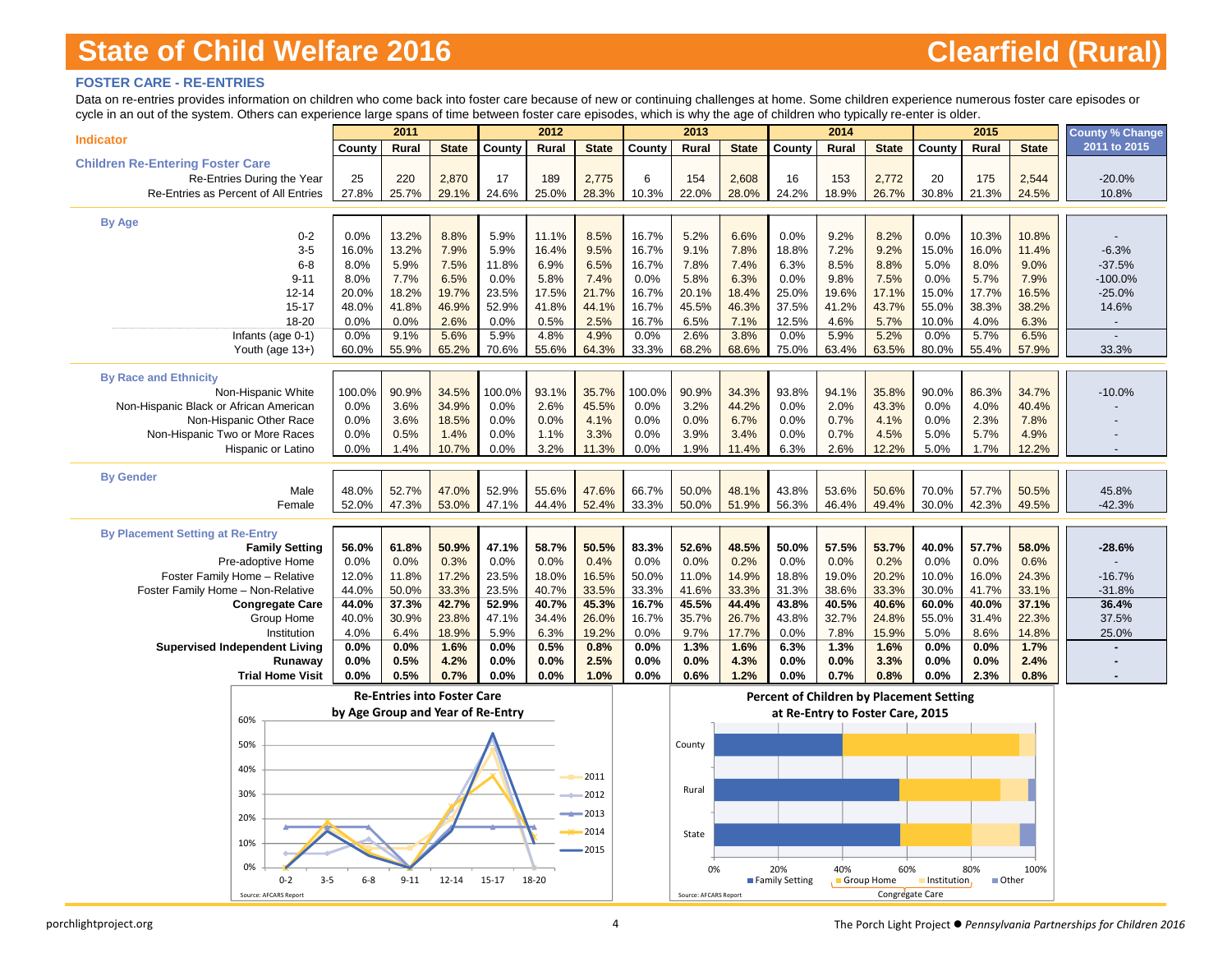### **FOSTER CARE - RE-ENTRIES**

Data on re-entries provides information on children who come back into foster care because of new or continuing challenges at home. Some children experience numerous foster care episodes or cycle in an out of the system. Others can experience large spans of time between foster care episodes, which is why the age of children who typically re-enter is older.

| an out or the oyotom. Others can experience large spans or time between rester care episodes, which is wrightedge or children who typically to children is cluents |                                   |                                    |               |              |              |              |              |                       |               |                                          |                                  |                 |              |              |               |                        |
|--------------------------------------------------------------------------------------------------------------------------------------------------------------------|-----------------------------------|------------------------------------|---------------|--------------|--------------|--------------|--------------|-----------------------|---------------|------------------------------------------|----------------------------------|-----------------|--------------|--------------|---------------|------------------------|
| <b>Indicator</b>                                                                                                                                                   |                                   | 2011                               |               |              | 2012         |              |              | 2013                  |               |                                          | 2014                             |                 |              | 2015         |               | <b>County % Change</b> |
|                                                                                                                                                                    | County                            | <b>Rural</b>                       | <b>State</b>  | County       | Rural        | <b>State</b> | County       | Rural                 | <b>State</b>  | County                                   | Rural                            | <b>State</b>    | County       | <b>Rural</b> | <b>State</b>  | 2011 to 2015           |
| <b>Children Re-Entering Foster Care</b>                                                                                                                            |                                   |                                    |               |              |              |              |              |                       |               |                                          |                                  |                 |              |              |               |                        |
| Re-Entries During the Year                                                                                                                                         | 25                                | 220                                | 2,870         | 17           | 189          | 2,775        | 6            | 154                   | 2,608         | 16                                       | 153                              | 2,772           | 20           | 175          | 2,544         | $-20.0%$               |
| Re-Entries as Percent of All Entries                                                                                                                               | 27.8%                             | 25.7%                              | 29.1%         | 24.6%        | 25.0%        | 28.3%        | 10.3%        | 22.0%                 | 28.0%         | 24.2%                                    | 18.9%                            | 26.7%           | 30.8%        | 21.3%        | 24.5%         | 10.8%                  |
|                                                                                                                                                                    |                                   |                                    |               |              |              |              |              |                       |               |                                          |                                  |                 |              |              |               |                        |
| <b>By Age</b>                                                                                                                                                      |                                   |                                    |               |              |              |              |              |                       |               |                                          |                                  |                 |              |              |               |                        |
| $0 - 2$                                                                                                                                                            | 0.0%                              | 13.2%                              | 8.8%          | 5.9%         | 11.1%        | 8.5%         | 16.7%        | 5.2%                  | 6.6%          | 0.0%                                     | 9.2%                             | 8.2%            | 0.0%         | 10.3%        | 10.8%         |                        |
| $3-5$                                                                                                                                                              | 16.0%                             | 13.2%                              | 7.9%          | 5.9%         | 16.4%        | 9.5%         | 16.7%        | 9.1%                  | 7.8%          | 18.8%                                    | 7.2%                             | 9.2%            | 15.0%        | 16.0%        | 11.4%         | $-6.3%$                |
| $6 - 8$                                                                                                                                                            | 8.0%                              | 5.9%                               | 7.5%          | 11.8%        | 6.9%         | 6.5%         | 16.7%        | 7.8%                  | 7.4%          | 6.3%                                     | 8.5%                             | 8.8%            | 5.0%         | 8.0%         | 9.0%          | $-37.5%$               |
| $9 - 11$                                                                                                                                                           | 8.0%                              | 7.7%                               | 6.5%          | 0.0%         | 5.8%         | 7.4%         | 0.0%         | 5.8%                  | 6.3%          | 0.0%                                     | 9.8%                             | 7.5%            | 0.0%         | 5.7%         | 7.9%          | $-100.0%$              |
| $12 - 14$                                                                                                                                                          | 20.0%                             | 18.2%                              | 19.7%         | 23.5%        | 17.5%        | 21.7%        | 16.7%        | 20.1%                 | 18.4%         | 25.0%                                    | 19.6%                            | 17.1%           | 15.0%        | 17.7%        | 16.5%         | $-25.0%$               |
| $15 - 17$                                                                                                                                                          | 48.0%                             | 41.8%                              | 46.9%         | 52.9%        | 41.8%        | 44.1%        | 16.7%        | 45.5%                 | 46.3%         | 37.5%                                    | 41.2%                            | 43.7%           | 55.0%        | 38.3%        | 38.2%         | 14.6%                  |
| 18-20                                                                                                                                                              | 0.0%                              | 0.0%                               | 2.6%          | 0.0%         | 0.5%         | 2.5%         | 16.7%        | 6.5%                  | 7.1%          | 12.5%                                    | 4.6%                             | 5.7%            | 10.0%        | 4.0%         | 6.3%          |                        |
| Infants (age $0-1$ )                                                                                                                                               | 0.0%                              | 9.1%                               | 5.6%          | 5.9%         | 4.8%         | 4.9%         | 0.0%         | 2.6%                  | 3.8%          | 0.0%                                     | 5.9%                             | 5.2%            | 0.0%         | 5.7%         | 6.5%          |                        |
| Youth (age 13+)                                                                                                                                                    | 60.0%                             | 55.9%                              | 65.2%         | 70.6%        | 55.6%        | 64.3%        | 33.3%        | 68.2%                 | 68.6%         | 75.0%                                    | 63.4%                            | 63.5%           | 80.0%        | 55.4%        | 57.9%         | 33.3%                  |
|                                                                                                                                                                    |                                   |                                    |               |              |              |              |              |                       |               |                                          |                                  |                 |              |              |               |                        |
| <b>By Race and Ethnicity</b>                                                                                                                                       |                                   |                                    |               |              |              |              |              |                       |               |                                          |                                  |                 |              |              |               |                        |
| Non-Hispanic White                                                                                                                                                 | 100.0%                            | 90.9%                              | 34.5%         | 100.0%       | 93.1%        | 35.7%        | 100.0%       | 90.9%                 | 34.3%         | 93.8%                                    | 94.1%                            | 35.8%           | 90.0%        | 86.3%        | 34.7%         | $-10.0%$               |
| Non-Hispanic Black or African American                                                                                                                             | 0.0%                              | 3.6%                               | 34.9%         | 0.0%         | 2.6%         | 45.5%        | 0.0%         | 3.2%                  | 44.2%         | 0.0%                                     | 2.0%                             | 43.3%           | 0.0%         | 4.0%         | 40.4%         |                        |
| Non-Hispanic Other Race                                                                                                                                            | 0.0%<br>0.0%                      | 3.6%<br>0.5%                       | 18.5%         | 0.0%         | 0.0%         | 4.1%<br>3.3% | 0.0%<br>0.0% | 0.0%<br>3.9%          | 6.7%          | 0.0%                                     | 0.7%<br>0.7%                     | 4.1%            | 0.0%         | 2.3%<br>5.7% | 7.8%          |                        |
| Non-Hispanic Two or More Races<br>Hispanic or Latino                                                                                                               | 0.0%                              | 1.4%                               | 1.4%<br>10.7% | 0.0%<br>0.0% | 1.1%<br>3.2% | 11.3%        | 0.0%         | 1.9%                  | 3.4%<br>11.4% | 0.0%<br>6.3%                             | 2.6%                             | 4.5%<br>12.2%   | 5.0%<br>5.0% | 1.7%         | 4.9%<br>12.2% |                        |
|                                                                                                                                                                    |                                   |                                    |               |              |              |              |              |                       |               |                                          |                                  |                 |              |              |               |                        |
| <b>By Gender</b>                                                                                                                                                   |                                   |                                    |               |              |              |              |              |                       |               |                                          |                                  |                 |              |              |               |                        |
| Male                                                                                                                                                               | 48.0%                             | 52.7%                              | 47.0%         | 52.9%        | 55.6%        | 47.6%        | 66.7%        | 50.0%                 | 48.1%         | 43.8%                                    | 53.6%                            | 50.6%           | 70.0%        | 57.7%        | 50.5%         | 45.8%                  |
| Female                                                                                                                                                             | 52.0%                             | 47.3%                              | 53.0%         | 47.1%        | 44.4%        | 52.4%        | 33.3%        | 50.0%                 | 51.9%         | 56.3%                                    | 46.4%                            | 49.4%           | 30.0%        | 42.3%        | 49.5%         | $-42.3%$               |
|                                                                                                                                                                    |                                   |                                    |               |              |              |              |              |                       |               |                                          |                                  |                 |              |              |               |                        |
| <b>By Placement Setting at Re-Entry</b>                                                                                                                            |                                   |                                    |               |              |              |              |              |                       |               |                                          |                                  |                 |              |              |               |                        |
| <b>Family Setting</b>                                                                                                                                              | 56.0%                             | 61.8%                              | 50.9%         | 47.1%        | 58.7%        | 50.5%        | 83.3%        | 52.6%                 | 48.5%         | 50.0%                                    | 57.5%                            | 53.7%           | 40.0%        | 57.7%        | 58.0%         | $-28.6%$               |
| Pre-adoptive Home                                                                                                                                                  | 0.0%                              | 0.0%                               | 0.3%          | 0.0%         | 0.0%         | 0.4%         | 0.0%         | 0.0%                  | 0.2%          | 0.0%                                     | 0.0%                             | 0.2%            | 0.0%         | 0.0%         | 0.6%          |                        |
| Foster Family Home - Relative                                                                                                                                      | 12.0%                             | 11.8%                              | 17.2%         | 23.5%        | 18.0%        | 16.5%        | 50.0%        | 11.0%                 | 14.9%         | 18.8%                                    | 19.0%                            | 20.2%           | 10.0%        | 16.0%        | 24.3%         | $-16.7%$               |
| Foster Family Home - Non-Relative                                                                                                                                  | 44.0%                             | 50.0%                              | 33.3%         | 23.5%        | 40.7%        | 33.5%        | 33.3%        | 41.6%                 | 33.3%         | 31.3%                                    | 38.6%                            | 33.3%           | 30.0%        | 41.7%        | 33.1%         | $-31.8%$               |
| <b>Congregate Care</b>                                                                                                                                             | 44.0%                             | 37.3%                              | 42.7%         | 52.9%        | 40.7%        | 45.3%        | 16.7%        | 45.5%                 | 44.4%         | 43.8%                                    | 40.5%                            | 40.6%           | 60.0%        | 40.0%        | 37.1%         | 36.4%                  |
| Group Home                                                                                                                                                         | 40.0%                             | 30.9%                              | 23.8%         | 47.1%        | 34.4%        | 26.0%        | 16.7%        | 35.7%                 | 26.7%         | 43.8%                                    | 32.7%                            | 24.8%           | 55.0%        | 31.4%        | 22.3%         | 37.5%                  |
| Institution                                                                                                                                                        | 4.0%                              | 6.4%                               | 18.9%         | 5.9%         | 6.3%         | 19.2%        | 0.0%         | 9.7%                  | 17.7%         | 0.0%                                     | 7.8%                             | 15.9%           | 5.0%         | 8.6%         | 14.8%         | 25.0%                  |
| <b>Supervised Independent Living</b>                                                                                                                               | $0.0\%$                           | 0.0%                               | 1.6%          | 0.0%         | 0.5%         | 0.8%         | 0.0%         | 1.3%                  | 1.6%          | 6.3%                                     | 1.3%                             | 1.6%            | 0.0%         | 0.0%         | 1.7%          |                        |
| Runaway                                                                                                                                                            | 0.0%                              | 0.5%                               | 4.2%          | 0.0%         | 0.0%         | 2.5%         | 0.0%         | 0.0%                  | 4.3%          | 0.0%                                     | 0.0%                             | 3.3%            | 0.0%         | 0.0%         | 2.4%          |                        |
| <b>Trial Home Visit</b>                                                                                                                                            | 0.0%                              | 0.5%                               | 0.7%          | 0.0%         | 0.0%         | 1.0%         | 0.0%         | 0.6%                  | 1.2%          | 0.0%                                     | 0.7%                             | 0.8%            | 0.0%         | 2.3%         | 0.8%          |                        |
|                                                                                                                                                                    |                                   | <b>Re-Entries into Foster Care</b> |               |              |              |              |              |                       |               | Percent of Children by Placement Setting |                                  |                 |              |              |               |                        |
|                                                                                                                                                                    | by Age Group and Year of Re-Entry |                                    |               |              |              |              |              |                       |               |                                          | at Re-Entry to Foster Care, 2015 |                 |              |              |               |                        |
| 60%                                                                                                                                                                |                                   |                                    |               |              |              |              |              |                       |               |                                          |                                  |                 |              |              |               |                        |
|                                                                                                                                                                    |                                   |                                    |               |              |              |              |              |                       |               |                                          |                                  |                 |              |              |               |                        |
| 50%                                                                                                                                                                |                                   |                                    |               |              |              |              |              | County                |               |                                          |                                  |                 |              |              |               |                        |
| 40%                                                                                                                                                                |                                   |                                    |               |              |              |              |              |                       |               |                                          |                                  |                 |              |              |               |                        |
|                                                                                                                                                                    |                                   |                                    |               |              |              | 2011         |              |                       |               |                                          |                                  |                 |              |              |               |                        |
| 30%                                                                                                                                                                |                                   |                                    |               |              |              | 2012         |              | Rural                 |               |                                          |                                  |                 |              |              |               |                        |
|                                                                                                                                                                    |                                   |                                    |               |              |              | 2013         |              |                       |               |                                          |                                  |                 |              |              |               |                        |
| 20%                                                                                                                                                                |                                   |                                    |               |              |              | 2014         |              |                       |               |                                          |                                  |                 |              |              |               |                        |
| 10%                                                                                                                                                                |                                   |                                    |               |              |              |              |              | State                 |               |                                          |                                  |                 |              |              |               |                        |
|                                                                                                                                                                    |                                   |                                    |               |              |              | 2015         |              |                       |               |                                          |                                  |                 |              |              |               |                        |
| 0%                                                                                                                                                                 |                                   |                                    |               |              |              |              |              | 0%                    |               | 20%                                      | 40%                              | 60%             |              | 80%          | 100%          |                        |
| $0 - 2$<br>$3 - 5$                                                                                                                                                 | $6 - 8$                           | $9 - 11$                           | $12 - 14$     | $15 - 17$    | 18-20        |              |              |                       |               | Family Setting                           | Group Home                       |                 | Institution, | <b>Other</b> |               |                        |
| Source: AFCARS Report                                                                                                                                              |                                   |                                    |               |              |              |              |              | Source: AFCARS Report |               |                                          |                                  | Congregate Care |              |              |               |                        |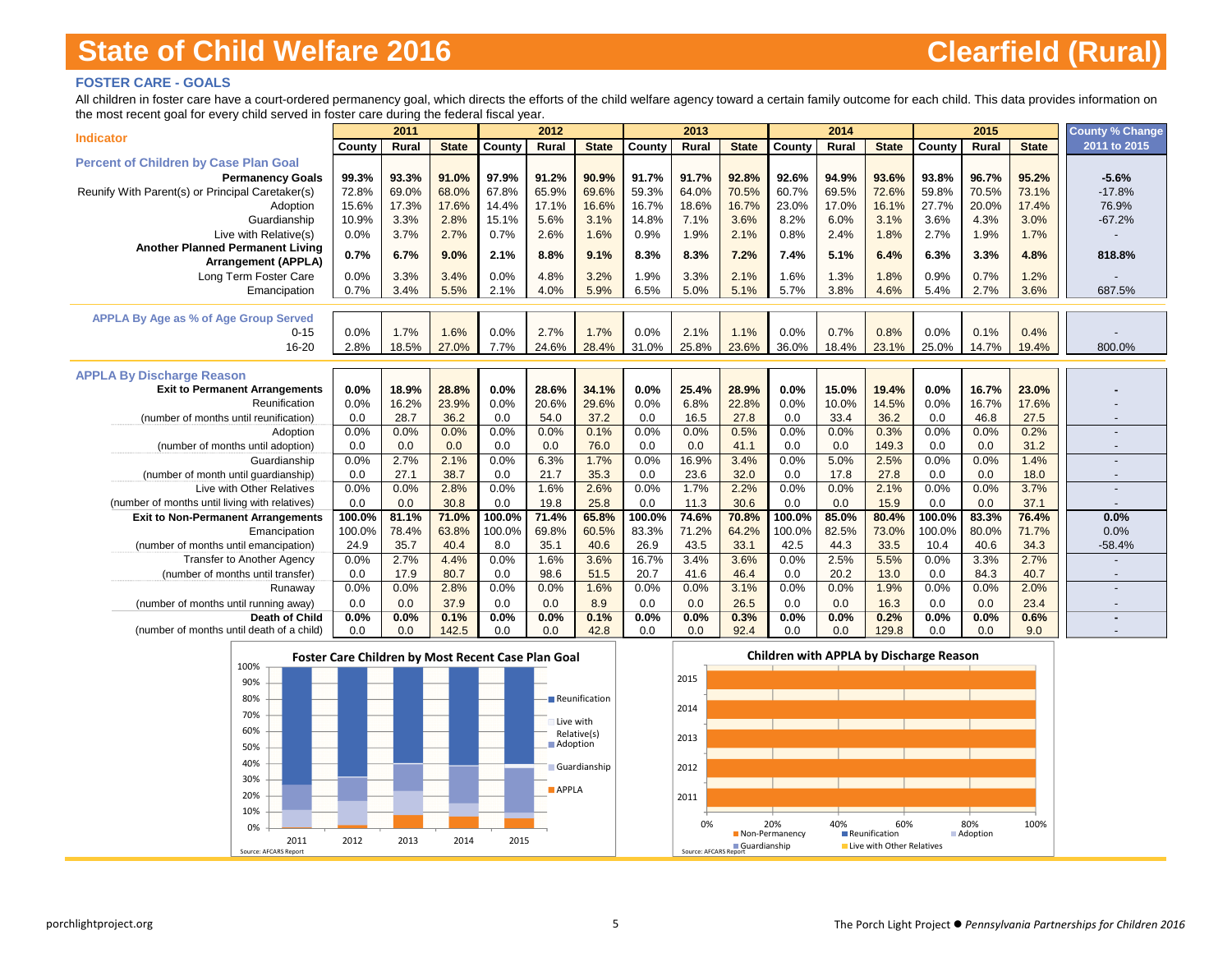### **FOSTER CARE - GOALS**

All children in foster care have a court-ordered permanency goal, which directs the efforts of the child welfare agency toward a certain family outcome for each child. This data provides information on the most recent goal for every child served in foster care during the federal fiscal year.

|                                                      |             | 2011         |              |             | 2012         |              |             | 2013         |              |             | 2014        |               |             | 2015        |              | <b>County % Change</b>   |
|------------------------------------------------------|-------------|--------------|--------------|-------------|--------------|--------------|-------------|--------------|--------------|-------------|-------------|---------------|-------------|-------------|--------------|--------------------------|
| <b>Indicator</b>                                     | County      | Rural        | <b>State</b> | County      | Rural        | <b>State</b> | County      | Rural        | <b>State</b> | County      | Rural       | <b>State</b>  | County      | Rural       | <b>State</b> | 2011 to 2015             |
| <b>Percent of Children by Case Plan Goal</b>         |             |              |              |             |              |              |             |              |              |             |             |               |             |             |              |                          |
| <b>Permanency Goals</b>                              | 99.3%       | 93.3%        | 91.0%        | 97.9%       | 91.2%        | 90.9%        | 91.7%       | 91.7%        | 92.8%        | 92.6%       | 94.9%       | 93.6%         | 93.8%       | 96.7%       | 95.2%        | $-5.6%$                  |
| Reunify With Parent(s) or Principal Caretaker(s)     | 72.8%       | 69.0%        | 68.0%        | 67.8%       | 65.9%        | 69.6%        | 59.3%       | 64.0%        | 70.5%        | 60.7%       | 69.5%       | 72.6%         | 59.8%       | 70.5%       | 73.1%        | $-17.8%$                 |
| Adoption                                             | 15.6%       | 17.3%        | 17.6%        | 14.4%       | 17.1%        | 16.6%        | 16.7%       | 18.6%        | 16.7%        | 23.0%       | 17.0%       | 16.1%         | 27.7%       | 20.0%       | 17.4%        | 76.9%                    |
| Guardianship                                         | 10.9%       | 3.3%         | 2.8%         | 15.1%       | 5.6%         | 3.1%         | 14.8%       | 7.1%         | 3.6%         | 8.2%        | 6.0%        | 3.1%          | 3.6%        | 4.3%        | 3.0%         | $-67.2%$                 |
| Live with Relative(s)                                | 0.0%        | 3.7%         | 2.7%         | 0.7%        | 2.6%         | 1.6%         | 0.9%        | 1.9%         | 2.1%         | 0.8%        | 2.4%        | 1.8%          | 2.7%        | 1.9%        | 1.7%         |                          |
| <b>Another Planned Permanent Living</b>              | 0.7%        | 6.7%         | 9.0%         | 2.1%        | 8.8%         | 9.1%         | 8.3%        | 8.3%         | 7.2%         | 7.4%        | 5.1%        | 6.4%          | 6.3%        | 3.3%        | 4.8%         | 818.8%                   |
| <b>Arrangement (APPLA)</b>                           |             |              |              |             |              |              |             |              |              |             |             |               |             |             |              |                          |
| Long Term Foster Care                                | 0.0%        | 3.3%         | 3.4%         | 0.0%        | 4.8%         | 3.2%         | 1.9%        | 3.3%         | 2.1%         | 1.6%        | 1.3%        | 1.8%          | 0.9%        | 0.7%        | 1.2%         |                          |
| Emancipation                                         | 0.7%        | 3.4%         | 5.5%         | 2.1%        | 4.0%         | 5.9%         | 6.5%        | 5.0%         | 5.1%         | 5.7%        | 3.8%        | 4.6%          | 5.4%        | 2.7%        | 3.6%         | 687.5%                   |
|                                                      |             |              |              |             |              |              |             |              |              |             |             |               |             |             |              |                          |
| <b>APPLA By Age as % of Age Group Served</b>         |             |              |              |             |              |              |             |              |              |             |             |               |             |             |              |                          |
| $0 - 15$                                             | 0.0%        | 1.7%         | 1.6%         | 0.0%        | 2.7%         | 1.7%         | 0.0%        | 2.1%         | 1.1%         | 0.0%        | 0.7%        | 0.8%          | 0.0%        | 0.1%        | 0.4%         |                          |
| 16-20                                                | 2.8%        | 18.5%        | 27.0%        | 7.7%        | 24.6%        | 28.4%        | 31.0%       | 25.8%        | 23.6%        | 36.0%       | 18.4%       | 23.1%         | 25.0%       | 14.7%       | 19.4%        | 800.0%                   |
|                                                      |             |              |              |             |              |              |             |              |              |             |             |               |             |             |              |                          |
| <b>APPLA By Discharge Reason</b>                     |             |              |              |             |              |              |             |              |              |             |             |               |             |             |              |                          |
| <b>Exit to Permanent Arrangements</b>                | 0.0%        | 18.9%        | 28.8%        | 0.0%        | 28.6%        | 34.1%        | 0.0%        | 25.4%        | 28.9%        | 0.0%        | 15.0%       | 19.4%         | 0.0%        | 16.7%       | 23.0%        |                          |
| Reunification                                        | 0.0%        | 16.2%        | 23.9%        | 0.0%        | 20.6%        | 29.6%        | 0.0%        | 6.8%         | 22.8%        | 0.0%        | 10.0%       | 14.5%         | 0.0%        | 16.7%       | 17.6%        |                          |
| (number of months until reunification)               | 0.0         | 28.7<br>0.0% | 36.2         | 0.0<br>0.0% | 54.0<br>0.0% | 37.2         | 0.0<br>0.0% | 16.5<br>0.0% | 27.8         | 0.0<br>0.0% | 33.4        | 36.2<br>0.3%  | 0.0<br>0.0% | 46.8        | 27.5<br>0.2% |                          |
| Adoption                                             | 0.0%        |              | 0.0%         |             |              | 0.1%         |             |              | 0.5%         |             | 0.0%        |               |             | 0.0%        |              |                          |
| (number of months until adoption)                    | 0.0<br>0.0% | 0.0<br>2.7%  | 0.0<br>2.1%  | 0.0<br>0.0% | 0.0<br>6.3%  | 76.0<br>1.7% | 0.0<br>0.0% | 0.0<br>16.9% | 41.1<br>3.4% | 0.0<br>0.0% | 0.0<br>5.0% | 149.3<br>2.5% | 0.0<br>0.0% | 0.0<br>0.0% | 31.2<br>1.4% |                          |
| Guardianship<br>(number of month until guardianship) | 0.0         | 27.1         | 38.7         | 0.0         | 21.7         | 35.3         | 0.0         | 23.6         | 32.0         | 0.0         | 17.8        | 27.8          | 0.0         | 0.0         | 18.0         |                          |
| Live with Other Relatives                            | 0.0%        | 0.0%         | 2.8%         | 0.0%        | 1.6%         | 2.6%         | 0.0%        | 1.7%         | 2.2%         | 0.0%        | 0.0%        | 2.1%          | 0.0%        | 0.0%        | 3.7%         |                          |
| (number of months until living with relatives)       | 0.0         | 0.0          | 30.8         | 0.0         | 19.8         | 25.8         | 0.0         | 11.3         | 30.6         | 0.0         | 0.0         | 15.9          | 0.0         | 0.0         | 37.1         | $\overline{\phantom{a}}$ |
| <b>Exit to Non-Permanent Arrangements</b>            | 100.0%      | 81.1%        | 71.0%        | 100.0%      | 71.4%        | 65.8%        | 100.0%      | 74.6%        | 70.8%        | 100.0%      | 85.0%       | 80.4%         | 100.0%      | 83.3%       | 76.4%        | 0.0%                     |
| Emancipation                                         | 100.0%      | 78.4%        | 63.8%        | 100.0%      | 69.8%        | 60.5%        | 83.3%       | 71.2%        | 64.2%        | 100.0%      | 82.5%       | 73.0%         | 100.0%      | 80.0%       | 71.7%        | 0.0%                     |
| (number of months until emancipation)                | 24.9        | 35.7         | 40.4         | 8.0         | 35.1         | 40.6         | 26.9        | 43.5         | 33.1         | 42.5        | 44.3        | 33.5          | 10.4        | 40.6        | 34.3         | $-58.4%$                 |
| <b>Transfer to Another Agency</b>                    | 0.0%        | 2.7%         | 4.4%         | 0.0%        | 1.6%         | 3.6%         | 16.7%       | 3.4%         | 3.6%         | 0.0%        | 2.5%        | 5.5%          | 0.0%        | 3.3%        | 2.7%         |                          |
| (number of months until transfer)                    | 0.0         | 17.9         | 80.7         | 0.0         | 98.6         | 51.5         | 20.7        | 41.6         | 46.4         | 0.0         | 20.2        | 13.0          | 0.0         | 84.3        | 40.7         | $\overline{\phantom{a}}$ |
| Runaway                                              | 0.0%        | 0.0%         | 2.8%         | 0.0%        | 0.0%         | 1.6%         | 0.0%        | 0.0%         | 3.1%         | 0.0%        | 0.0%        | 1.9%          | 0.0%        | 0.0%        | 2.0%         |                          |
| (number of months until running away)                | 0.0         | 0.0          | 37.9         | 0.0         | 0.0          | 8.9          | 0.0         | 0.0          | 26.5         | 0.0         | 0.0         | 16.3          | 0.0         | 0.0         | 23.4         |                          |
| Death of Child                                       | 0.0%        | 0.0%         | 0.1%         | 0.0%        | 0.0%         | 0.1%         | 0.0%        | 0.0%         | 0.3%         | 0.0%        | 0.0%        | 0.2%          | 0.0%        | 0.0%        | 0.6%         |                          |
| (number of months until death of a child)            | 0.0         | 0.0          | 142.5        | 0.0         | 0.0          | 42.8         | 0.0         | 0.0          | 92.4         | 0.0         | 0.0         | 129.8         | 0.0         | 0.0         | 9.0          |                          |



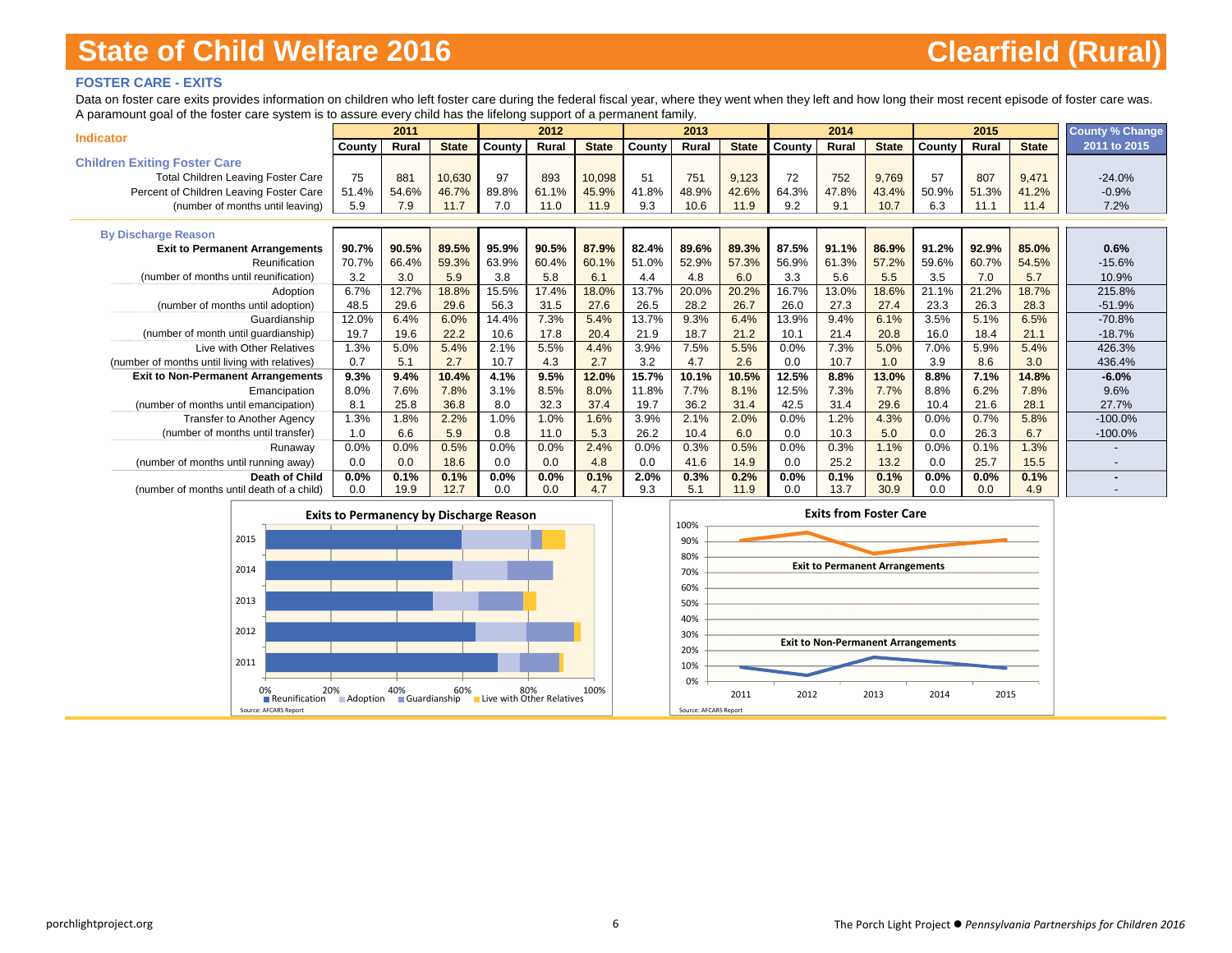### **FOSTER CARE - EXITS**

Data on foster care exits provides information on children who left foster care during the federal fiscal year, where they went when they left and how long their most recent episode of foster care was. A paramount goal of the foster care system is to assure every child has the lifelong support of a permanent family.

|                                                        |        | 2011  |              |        | 2012  |              |        | 2013  |              |         | 2014  |              |              | 2015  |              | <b>County % Change</b> |
|--------------------------------------------------------|--------|-------|--------------|--------|-------|--------------|--------|-------|--------------|---------|-------|--------------|--------------|-------|--------------|------------------------|
| <b>Indicator</b>                                       | County | Rural | <b>State</b> | County | Rural | <b>State</b> | County | Rural | <b>State</b> | County  | Rural | <b>State</b> | County       | Rural | <b>State</b> | 2011 to 2015           |
| <b>Children Exiting Foster Care</b>                    |        |       |              |        |       |              |        |       |              |         |       |              |              |       |              |                        |
| <b>Total Children Leaving Foster Care</b>              | 75     | 881   | 10,630       | 97     | 893   | 10,098       | 51     | 751   | 9,123        | 72      | 752   | 9,769        | 57           | 807   | 9,471        | $-24.0%$               |
| Percent of Children Leaving Foster Care                | 51.4%  | 54.6% | 46.7%        | 89.8%  | 61.1% | 45.9%        | 41.8%  | 48.9% | 42.6%        | 64.3%   | 47.8% | 43.4%        | 50.9%        | 51.3% | 41.2%        | $-0.9%$                |
| (number of months until leaving)                       | 5.9    | 7.9   | 11.7         | 7.0    | 11.0  | 11.9         | 9.3    | 10.6  | 11.9         | 9.2     | 9.1   | 10.7         | 6.3          | 11.1  | 11.4         | 7.2%                   |
|                                                        |        |       |              |        |       |              |        |       |              |         |       |              |              |       |              |                        |
| <b>By Discharge Reason</b>                             | 90.7%  | 90.5% | 89.5%        | 95.9%  | 90.5% | 87.9%        | 82.4%  | 89.6% | 89.3%        | 87.5%   | 91.1% | 86.9%        | 91.2%        | 92.9% | 85.0%        |                        |
| <b>Exit to Permanent Arrangements</b><br>Reunification | 70.7%  | 66.4% | 59.3%        | 63.9%  | 60.4% | 60.1%        | 51.0%  | 52.9% | 57.3%        | 56.9%   | 61.3% | 57.2%        | 59.6%        | 60.7% | 54.5%        | 0.6%<br>$-15.6%$       |
|                                                        | 3.2    | 3.0   |              |        | 5.8   |              |        |       |              |         |       |              |              |       |              |                        |
| (number of months until reunification)                 |        |       | 5.9          | 3.8    |       | 6.1          | 4.4    | 4.8   | 6.0          | 3.3     | 5.6   | 5.5          | 3.5<br>21.1% | 7.0   | 5.7          | 10.9%                  |
| Adoption                                               | 6.7%   | 12.7% | 18.8%        | 15.5%  | 17.4% | 18.0%        | 13.7%  | 20.0% | 20.2%        | 16.7%   | 13.0% | 18.6%        |              | 21.2% | 18.7%        | 215.8%                 |
| (number of months until adoption)                      | 48.5   | 29.6  | 29.6         | 56.3   | 31.5  | 27.6         | 26.5   | 28.2  | 26.7         | 26.0    | 27.3  | 27.4         | 23.3         | 26.3  | 28.3         | $-51.9%$               |
| Guardianship                                           | 12.0%  | 6.4%  | 6.0%         | 14.4%  | 7.3%  | 5.4%         | 13.7%  | 9.3%  | 6.4%         | 13.9%   | 9.4%  | 6.1%         | 3.5%         | 5.1%  | 6.5%         | $-70.8%$               |
| (number of month until guardianship)                   | 19.7   | 19.6  | 22.2         | 10.6   | 17.8  | 20.4         | 21.9   | 18.7  | 21.2         | 10.1    | 21.4  | 20.8         | 16.0         | 18.4  | 21.1         | $-18.7%$               |
| Live with Other Relatives                              | 1.3%   | 5.0%  | 5.4%         | 2.1%   | 5.5%  | 4.4%         | 3.9%   | 7.5%  | 5.5%         | 0.0%    | 7.3%  | 5.0%         | 7.0%         | 5.9%  | 5.4%         | 426.3%                 |
| (number of months until living with relatives)         | 0.7    | 5.1   | 2.7          | 10.7   | 4.3   | 2.7          | 3.2    | 4.7   | 2.6          | 0.0     | 10.7  | 1.0          | 3.9          | 8.6   | 3.0          | 436.4%                 |
| <b>Exit to Non-Permanent Arrangements</b>              | 9.3%   | 9.4%  | 10.4%        | 4.1%   | 9.5%  | 12.0%        | 15.7%  | 10.1% | 10.5%        | 12.5%   | 8.8%  | 13.0%        | 8.8%         | 7.1%  | 14.8%        | $-6.0%$                |
| Emancipation                                           | 8.0%   | 7.6%  | 7.8%         | 3.1%   | 8.5%  | 8.0%         | 11.8%  | 7.7%  | 8.1%         | 12.5%   | 7.3%  | 7.7%         | 8.8%         | 6.2%  | 7.8%         | 9.6%                   |
| (number of months until emancipation)                  | 8.1    | 25.8  | 36.8         | 8.0    | 32.3  | 37.4         | 19.7   | 36.2  | 31.4         | 42.5    | 31.4  | 29.6         | 10.4         | 21.6  | 28.1         | 27.7%                  |
| <b>Transfer to Another Agency</b>                      | 1.3%   | 1.8%  | 2.2%         | 1.0%   | 1.0%  | 1.6%         | 3.9%   | 2.1%  | 2.0%         | 0.0%    | 1.2%  | 4.3%         | 0.0%         | 0.7%  | 5.8%         | $-100.0%$              |
| (number of months until transfer)                      | 1.0    | 6.6   | 5.9          | 0.8    | 11.0  | 5.3          | 26.2   | 10.4  | 6.0          | 0.0     | 10.3  | 5.0          | 0.0          | 26.3  | 6.7          | $-100.0%$              |
| Runaway                                                | 0.0%   | 0.0%  | 0.5%         | 0.0%   | 0.0%  | 2.4%         | 0.0%   | 0.3%  | 0.5%         | 0.0%    | 0.3%  | 1.1%         | 0.0%         | 0.1%  | 1.3%         |                        |
| (number of months until running away)                  | 0.0    | 0.0   | 18.6         | 0.0    | 0.0   | 4.8          | 0.0    | 41.6  | 14.9         | 0.0     | 25.2  | 13.2         | 0.0          | 25.7  | 15.5         |                        |
| <b>Death of Child</b>                                  | 0.0%   | 0.1%  | 0.1%         | 0.0%   | 0.0%  | 0.1%         | 2.0%   | 0.3%  | 0.2%         | $0.0\%$ | 0.1%  | 0.1%         | 0.0%         | 0.0%  | 0.1%         |                        |
| (number of months until death of a child)              | 0.0    | 19.9  | 12.7         | 0.0    | 0.0   | 4.7          | 9.3    | 5.1   | 11.9         | 0.0     | 13.7  | 30.9         | 0.0          | 0.0   | 4.9          |                        |

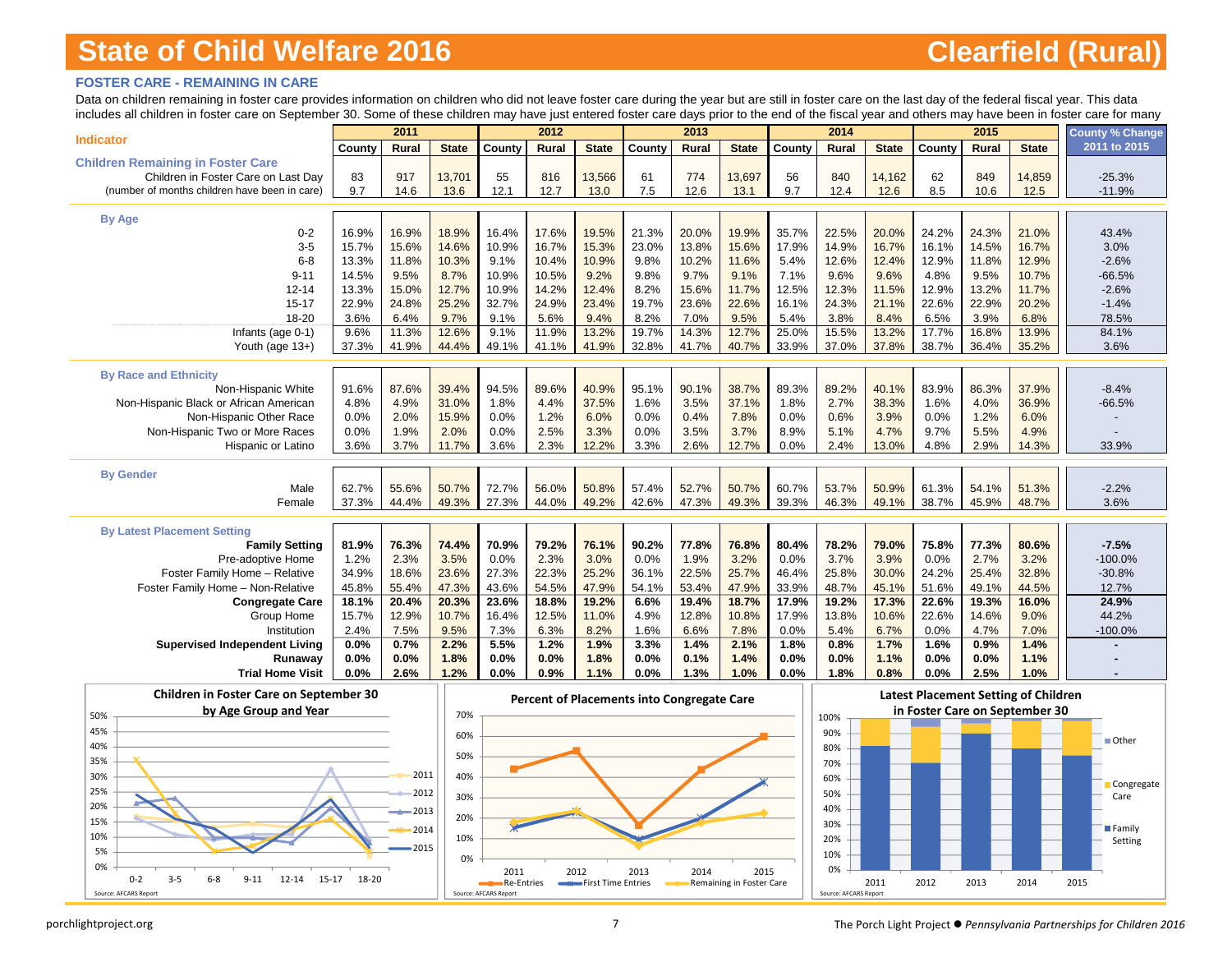### **FOSTER CARE - REMAINING IN CARE**

Data on children remaining in foster care provides information on children who did not leave foster care during the year but are still in foster care on the last day of the federal fiscal year. This data includes all children in foster care on September 30. Some of these children may have just entered foster care days prior to the end of the fiscal year and others may have been in foster care for many

|                                               |              | 2011          |               |              | 2012          |               |               | 2013          |               |               | 2014          |               |               | 2015          |               | <b>County % Change</b> |
|-----------------------------------------------|--------------|---------------|---------------|--------------|---------------|---------------|---------------|---------------|---------------|---------------|---------------|---------------|---------------|---------------|---------------|------------------------|
| <b>Indicator</b>                              | County       | Rural         | <b>State</b>  | County       | Rural         | <b>State</b>  | County        | Rural         | <b>State</b>  | County        | <b>Rural</b>  | <b>State</b>  | County        | <b>Rural</b>  | <b>State</b>  | 2011 to 2015           |
| <b>Children Remaining in Foster Care</b>      |              |               |               |              |               |               |               |               |               |               |               |               |               |               |               |                        |
| Children in Foster Care on Last Day           | 83           | 917           | 13,701        | 55           | 816           | 13,566        | 61            | 774           | 13,697        | 56            | 840           | 14,162        | 62            | 849           | 14,859        | $-25.3%$               |
| (number of months children have been in care) | 9.7          | 14.6          | 13.6          | 12.1         | 12.7          | 13.0          | 7.5           | 12.6          | 13.1          | 9.7           | 12.4          | 12.6          | 8.5           | 10.6          | 12.5          | $-11.9%$               |
|                                               |              |               |               |              |               |               |               |               |               |               |               |               |               |               |               |                        |
| <b>By Age</b>                                 |              |               |               |              |               |               |               |               |               |               |               |               |               |               |               |                        |
| $0 - 2$                                       | 16.9%        | 16.9%         | 18.9%         | 16.4%        | 17.6%         | 19.5%         | 21.3%         | 20.0%         | 19.9%         | 35.7%         | 22.5%         | 20.0%         | 24.2%         | 24.3%         | 21.0%         | 43.4%                  |
| $3-5$                                         | 15.7%        | 15.6%         | 14.6%         | 10.9%        | 16.7%         | 15.3%         | 23.0%         | 13.8%         | 15.6%         | 17.9%         | 14.9%         | 16.7%         | 16.1%         | 14.5%         | 16.7%         | 3.0%                   |
| $6 - 8$                                       | 13.3%        | 11.8%         | 10.3%         | 9.1%         | 10.4%         | 10.9%         | 9.8%          | 10.2%         | 11.6%         | 5.4%          | 12.6%         | 12.4%         | 12.9%         | 11.8%         | 12.9%         | $-2.6%$                |
| $9 - 11$                                      | 14.5%        | 9.5%          | 8.7%          | 10.9%        | 10.5%         | 9.2%          | 9.8%          | 9.7%          | 9.1%          | 7.1%          | 9.6%          | 9.6%          | 4.8%          | 9.5%          | 10.7%         | $-66.5%$               |
| $12 - 14$                                     | 13.3%        | 15.0%         | 12.7%         | 10.9%        | 14.2%         | 12.4%         | 8.2%          | 15.6%         | 11.7%         | 12.5%         | 12.3%         | 11.5%         | 12.9%         | 13.2%         | 11.7%         | $-2.6%$                |
| $15 - 17$                                     | 22.9%        | 24.8%         | 25.2%         | 32.7%        | 24.9%         | 23.4%         | 19.7%         | 23.6%         | 22.6%         | 16.1%         | 24.3%         | 21.1%         | 22.6%         | 22.9%         | 20.2%         | $-1.4%$                |
| 18-20                                         | 3.6%<br>9.6% | 6.4%<br>11.3% | 9.7%<br>12.6% | 9.1%<br>9.1% | 5.6%<br>11.9% | 9.4%<br>13.2% | 8.2%<br>19.7% | 7.0%<br>14.3% | 9.5%<br>12.7% | 5.4%<br>25.0% | 3.8%<br>15.5% | 8.4%<br>13.2% | 6.5%<br>17.7% | 3.9%<br>16.8% | 6.8%<br>13.9% | 78.5%<br>84.1%         |
| Infants (age 0-1)                             | 37.3%        | 41.9%         | 44.4%         | 49.1%        |               | 41.9%         | 32.8%         | 41.7%         | 40.7%         | 33.9%         | 37.0%         | 37.8%         | 38.7%         | 36.4%         | 35.2%         | 3.6%                   |
| Youth (age 13+)                               |              |               |               |              | 41.1%         |               |               |               |               |               |               |               |               |               |               |                        |
| <b>By Race and Ethnicity</b>                  |              |               |               |              |               |               |               |               |               |               |               |               |               |               |               |                        |
| Non-Hispanic White                            | 91.6%        | 87.6%         | 39.4%         | 94.5%        | 89.6%         | 40.9%         | 95.1%         | 90.1%         | 38.7%         | 89.3%         | 89.2%         | 40.1%         | 83.9%         | 86.3%         | 37.9%         | $-8.4%$                |
| Non-Hispanic Black or African American        | 4.8%         | 4.9%          | 31.0%         | 1.8%         | 4.4%          | 37.5%         | 1.6%          | 3.5%          | 37.1%         | 1.8%          | 2.7%          | 38.3%         | 1.6%          | 4.0%          | 36.9%         | $-66.5%$               |
| Non-Hispanic Other Race                       | 0.0%         | 2.0%          | 15.9%         | 0.0%         | 1.2%          | 6.0%          | 0.0%          | 0.4%          | 7.8%          | 0.0%          | 0.6%          | 3.9%          | 0.0%          | 1.2%          | 6.0%          |                        |
| Non-Hispanic Two or More Races                | 0.0%         | 1.9%          | 2.0%          | 0.0%         | 2.5%          | 3.3%          | 0.0%          | 3.5%          | 3.7%          | 8.9%          | 5.1%          | 4.7%          | 9.7%          | 5.5%          | 4.9%          |                        |
| <b>Hispanic or Latino</b>                     | 3.6%         | 3.7%          | 11.7%         | 3.6%         | 2.3%          | 12.2%         | 3.3%          | 2.6%          | 12.7%         | 0.0%          | 2.4%          | 13.0%         | 4.8%          | 2.9%          | 14.3%         | 33.9%                  |
|                                               |              |               |               |              |               |               |               |               |               |               |               |               |               |               |               |                        |
| <b>By Gender</b>                              |              |               |               |              |               |               |               |               |               |               |               |               |               |               |               |                        |
| Male                                          | 62.7%        | 55.6%         | 50.7%         | 72.7%        | 56.0%         | 50.8%         | 57.4%         | 52.7%         | 50.7%         | 60.7%         | 53.7%         | 50.9%         | 61.3%         | 54.1%         | 51.3%         | $-2.2%$                |
| Female                                        | 37.3%        | 44.4%         | 49.3%         | 27.3%        | 44.0%         | 49.2%         | 42.6%         | 47.3%         | 49.3%         | 39.3%         | 46.3%         | 49.1%         | 38.7%         | 45.9%         | 48.7%         | 3.6%                   |
|                                               |              |               |               |              |               |               |               |               |               |               |               |               |               |               |               |                        |
| <b>By Latest Placement Setting</b>            |              |               |               |              |               |               |               |               |               |               |               |               |               |               |               |                        |
| <b>Family Setting</b>                         | 81.9%        | 76.3%         | 74.4%         | 70.9%        | 79.2%         | 76.1%         | 90.2%         | 77.8%         | 76.8%         | 80.4%         | 78.2%         | 79.0%         | 75.8%         | 77.3%         | 80.6%         | $-7.5%$                |
| Pre-adoptive Home                             | 1.2%         | 2.3%          | 3.5%          | 0.0%         | 2.3%          | 3.0%          | 0.0%          | 1.9%          | 3.2%          | 0.0%          | 3.7%          | 3.9%          | 0.0%          | 2.7%          | 3.2%          | $-100.0%$              |
| Foster Family Home - Relative                 | 34.9%        | 18.6%         | 23.6%         | 27.3%        | 22.3%         | 25.2%         | 36.1%         | 22.5%         | 25.7%         | 46.4%         | 25.8%         | 30.0%         | 24.2%         | 25.4%         | 32.8%         | $-30.8%$               |
| Foster Family Home - Non-Relative             | 45.8%        | 55.4%         | 47.3%         | 43.6%        | 54.5%         | 47.9%         | 54.1%         | 53.4%         | 47.9%         | 33.9%         | 48.7%         | 45.1%         | 51.6%         | 49.1%         | 44.5%         | 12.7%                  |
| <b>Congregate Care</b>                        | 18.1%        | 20.4%         | 20.3%         | 23.6%        | 18.8%         | 19.2%         | 6.6%          | 19.4%         | 18.7%         | 17.9%         | 19.2%         | 17.3%         | 22.6%         | 19.3%         | 16.0%         | 24.9%                  |
| Group Home                                    | 15.7%        | 12.9%         | 10.7%         | 16.4%        | 12.5%         | 11.0%         | 4.9%          | 12.8%         | 10.8%         | 17.9%         | 13.8%         | 10.6%         | 22.6%         | 14.6%         | 9.0%          | 44.2%                  |
| Institution                                   | 2.4%         | 7.5%          | 9.5%          | 7.3%         | 6.3%          | 8.2%          | 1.6%          | 6.6%          | 7.8%          | 0.0%          | 5.4%          | 6.7%          | 0.0%          | 4.7%          | 7.0%          | $-100.0%$              |
| <b>Supervised Independent Living</b>          | 0.0%         | 0.7%          | 2.2%          | 5.5%         | 1.2%          | 1.9%          | 3.3%          | 1.4%          | 2.1%          | 1.8%          | 0.8%          | 1.7%          | 1.6%          | 0.9%          | 1.4%          |                        |
| Runaway                                       | 0.0%         | 0.0%          | 1.8%          | 0.0%         | 0.0%          | 1.8%          | 0.0%          | 0.1%          | 1.4%          | 0.0%          | 0.0%          | 1.1%          | 0.0%          | 0.0%          | 1.1%          |                        |
| <b>Trial Home Visit</b>                       | 0.0%         | 2.6%          | 1.2%          | 0.0%         | 0.9%          | 1.1%          | 0.0%          | 1.3%          | 1.0%          | 0.0%          | 1.8%          | 0.8%          | 0.0%          | 2.5%          | 1.0%          |                        |